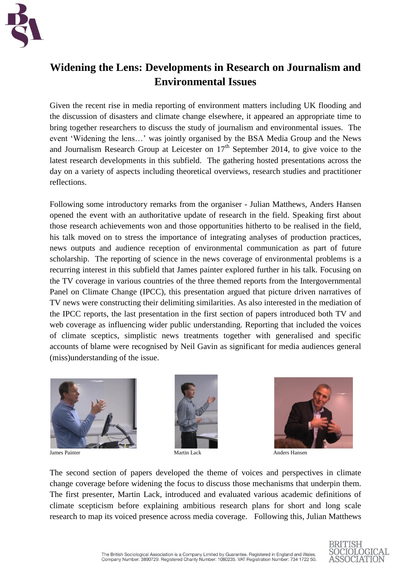

## **Widening the Lens: Developments in Research on Journalism and Environmental Issues**

Given the recent rise in media reporting of environment matters including UK flooding and the discussion of disasters and climate change elsewhere, it appeared an appropriate time to bring together researchers to discuss the study of journalism and environmental issues. The event 'Widening the lens…' was jointly organised by the BSA Media Group and the News and Journalism Research Group at Leicester on  $17<sup>th</sup>$  September 2014, to give voice to the latest research developments in this subfield. The gathering hosted presentations across the day on a variety of aspects including theoretical overviews, research studies and practitioner reflections.

Following some introductory remarks from the organiser - Julian Matthews, Anders Hansen opened the event with an authoritative update of research in the field. Speaking first about those research achievements won and those opportunities hitherto to be realised in the field, his talk moved on to stress the importance of integrating analyses of production practices, news outputs and audience reception of environmental communication as part of future scholarship. The reporting of science in the news coverage of environmental problems is a recurring interest in this subfield that James painter explored further in his talk. Focusing on the TV coverage in various countries of the three themed reports from the Intergovernmental Panel on Climate Change (IPCC), this presentation argued that picture driven narratives of TV news were constructing their delimiting similarities. As also interested in the mediation of the IPCC reports, the last presentation in the first section of papers introduced both TV and web coverage as influencing wider public understanding. Reporting that included the voices of climate sceptics, simplistic news treatments together with generalised and specific accounts of blame were recognised by Neil Gavin as significant for media audiences general (miss)understanding of the issue.





James Painter Martin Lack Anders Hansen



The second section of papers developed the theme of voices and perspectives in climate change coverage before widening the focus to discuss those mechanisms that underpin them. The first presenter, Martin Lack, introduced and evaluated various academic definitions of climate scepticism before explaining ambitious research plans for short and long scale research to map its voiced presence across media coverage. Following this, Julian Matthews

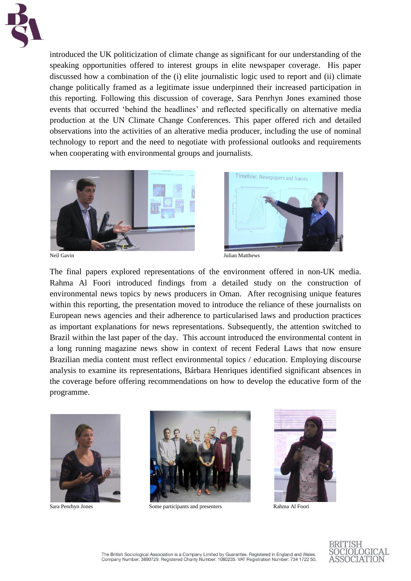

introduced the UK politicization of climate change as significant for our understanding of the speaking opportunities offered to interest groups in elite newspaper coverage. His paper discussed how a combination of the (i) elite journalistic logic used to report and (ii) climate change politically framed as a legitimate issue underpinned their increased participation in this reporting. Following this discussion of coverage, Sara Penrhyn Jones examined those events that occurred 'behind the headlines' and reflected specifically on alternative media production at the UN Climate Change Conferences. This paper offered rich and detailed observations into the activities of an alterative media producer, including the use of nominal technology to report and the need to negotiate with professional outlooks and requirements when cooperating with environmental groups and journalists.





Neil Gavin Julian Matthews

The final papers explored representations of the environment offered in non-UK media. Rahma Al Foori introduced findings from a detailed study on the construction of environmental news topics by news producers in Oman. After recognising unique features within this reporting, the presentation moved to introduce the reliance of these journalists on European news agencies and their adherence to particularised laws and production practices as important explanations for news representations. Subsequently, the attention switched to Brazil within the last paper of the day. This account introduced the environmental content in a long running magazine news show in context of recent Federal Laws that now ensure Brazilian media content must reflect environmental topics / education. Employing discourse analysis to examine its representations, Bárbara Henriques identified significant absences in the coverage before offering recommendations on how to develop the educative form of the programme.





Sara Penrhyn Jones Some participants and presenters Rahma Al Foori